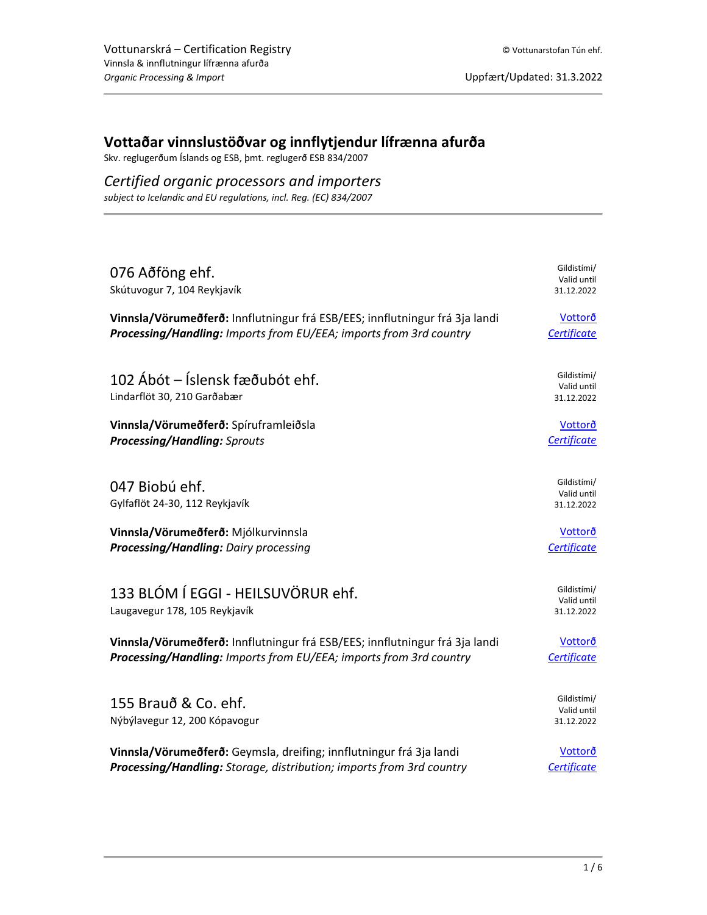## **Vottaðar vinnslustöðvar og innflytjendur lífrænna afurða**

Skv. reglugerðum Íslands og ESB, þmt. reglugerð ESB 834/2007

## *Certified organic processors and importers*

*subject to Icelandic and EU regulations, incl. Reg. (EC) 834/2007*

| 076 Aðföng ehf.<br>Skútuvogur 7, 104 Reykjavík                              | Gildistími/<br>Valid until<br>31.12.2022 |
|-----------------------------------------------------------------------------|------------------------------------------|
| Vinnsla/Vörumeðferð: Innflutningur frá ESB/EES; innflutningur frá 3ja landi | Vottorð                                  |
| Processing/Handling: Imports from EU/EEA; imports from 3rd country          | Certificate                              |
| 102 Ábót – Íslensk fæðubót ehf.<br>Lindarflöt 30, 210 Garðabær              | Gildistími/<br>Valid until<br>31.12.2022 |
| Vinnsla/Vörumeðferð: Spíruframleiðsla                                       | Vottorð                                  |
| <b>Processing/Handling: Sprouts</b>                                         | Certificate                              |
| 047 Biobú ehf.<br>Gylfaflöt 24-30, 112 Reykjavík                            | Gildistími/<br>Valid until<br>31.12.2022 |
| Vinnsla/Vörumeðferð: Mjólkurvinnsla                                         | Vottorð                                  |
| Processing/Handling: Dairy processing                                       | Certificate                              |
| 133 BLÓM Í EGGI - HEILSUVÖRUR ehf.<br>Laugavegur 178, 105 Reykjavík         | Gildistími/<br>Valid until<br>31.12.2022 |
| Vinnsla/Vörumeðferð: Innflutningur frá ESB/EES; innflutningur frá 3ja landi | Vottorð                                  |
| Processing/Handling: Imports from EU/EEA; imports from 3rd country          | Certificate                              |
| 155 Brauð & Co. ehf.<br>Nýbýlavegur 12, 200 Kópavogur                       | Gildistími/<br>Valid until<br>31.12.2022 |
| Vinnsla/Vörumeðferð: Geymsla, dreifing; innflutningur frá 3ja landi         | <b>Vottorð</b>                           |
| Processing/Handling: Storage, distribution; imports from 3rd country        | Certificate                              |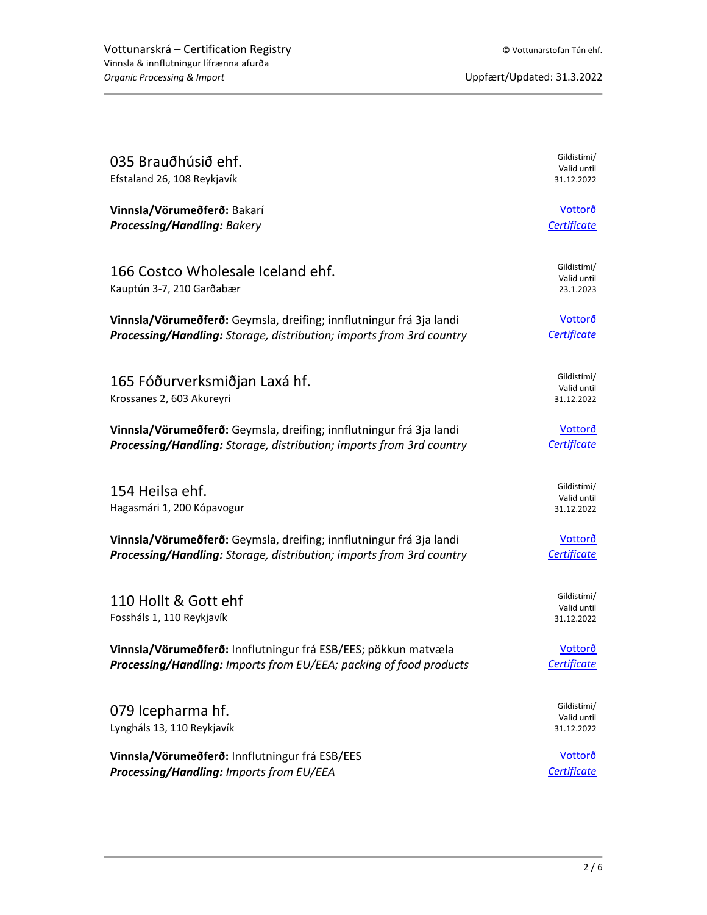| 035 Brauðhúsið ehf.<br>Efstaland 26, 108 Reykjavík                   | Gildistími/<br>Valid until<br>31.12.2022 |
|----------------------------------------------------------------------|------------------------------------------|
|                                                                      |                                          |
| Vinnsla/Vörumeðferð: Bakarí                                          | Vottorð                                  |
| <b>Processing/Handling: Bakery</b>                                   | Certificate                              |
| 166 Costco Wholesale Iceland ehf.                                    | Gildistími/                              |
| Kauptún 3-7, 210 Garðabær                                            | Valid until<br>23.1.2023                 |
| Vinnsla/Vörumeðferð: Geymsla, dreifing; innflutningur frá 3ja landi  | <b>Vottorð</b>                           |
| Processing/Handling: Storage, distribution; imports from 3rd country | Certificate                              |
| 165 Fóðurverksmiðjan Laxá hf.                                        | Gildistími/                              |
| Krossanes 2, 603 Akureyri                                            | Valid until<br>31.12.2022                |
|                                                                      |                                          |
| Vinnsla/Vörumeðferð: Geymsla, dreifing; innflutningur frá 3ja landi  | Vottorð                                  |
| Processing/Handling: Storage, distribution; imports from 3rd country | <b>Certificate</b>                       |
| 154 Heilsa ehf.                                                      | Gildistími/                              |
| Hagasmári 1, 200 Kópavogur                                           | Valid until<br>31.12.2022                |
| Vinnsla/Vörumeðferð: Geymsla, dreifing; innflutningur frá 3ja landi  | <u>Vottorð</u>                           |
| Processing/Handling: Storage, distribution; imports from 3rd country | Certificate                              |
|                                                                      | Gildistími/                              |
| 110 Hollt & Gott ehf<br>Fossháls 1, 110 Reykjavík                    | Valid until<br>31.12.2022                |
|                                                                      |                                          |
| Vinnsla/Vörumeðferð: Innflutningur frá ESB/EES; pökkun matvæla       | <b>Vottorð</b>                           |
| Processing/Handling: Imports from EU/EEA; packing of food products   | Certificate                              |
| 079 Icepharma hf.                                                    | Gildistími/                              |
| Lyngháls 13, 110 Reykjavík                                           | Valid until<br>31.12.2022                |
| Vinnsla/Vörumeðferð: Innflutningur frá ESB/EES                       | <u>Vottorð</u>                           |
| Processing/Handling: Imports from EU/EEA                             | Certificate                              |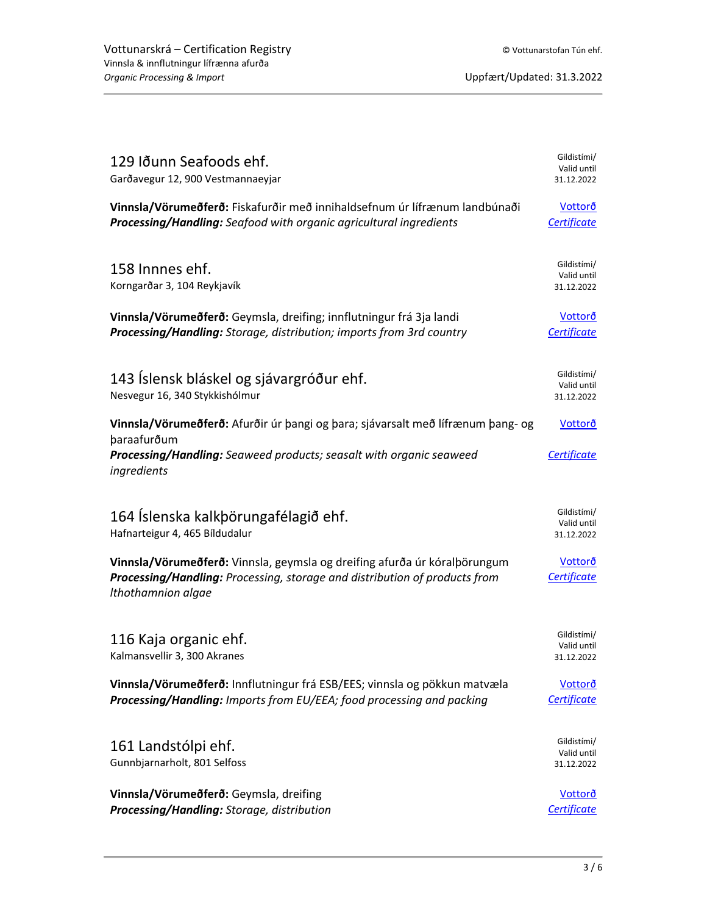| 129 Iðunn Seafoods ehf.<br>Garðavegur 12, 900 Vestmannaeyjar                                                                                                                         | Gildistími/<br>Valid until<br>31.12.2022 |
|--------------------------------------------------------------------------------------------------------------------------------------------------------------------------------------|------------------------------------------|
| Vinnsla/Vörumeðferð: Fiskafurðir með innihaldsefnum úr lífrænum landbúnaði<br>Processing/Handling: Seafood with organic agricultural ingredients                                     | Vottorð<br>Certificate                   |
| 158 Innnes ehf.<br>Korngarðar 3, 104 Reykjavík                                                                                                                                       | Gildistími/<br>Valid until<br>31.12.2022 |
| Vinnsla/Vörumeðferð: Geymsla, dreifing; innflutningur frá 3ja landi<br>Processing/Handling: Storage, distribution; imports from 3rd country                                          | Vottorð<br>Certificate                   |
| 143 Íslensk bláskel og sjávargróður ehf.<br>Nesvegur 16, 340 Stykkishólmur                                                                                                           | Gildistími/<br>Valid until<br>31.12.2022 |
| Vinnsla/Vörumeðferð: Afurðir úr þangi og þara; sjávarsalt með lífrænum þang- og<br>þaraafurðum<br>Processing/Handling: Seaweed products; seasalt with organic seaweed<br>ingredients | Vottorð<br>Certificate                   |
| 164 Íslenska kalkþörungafélagið ehf.<br>Hafnarteigur 4, 465 Bíldudalur                                                                                                               | Gildistími/<br>Valid until<br>31.12.2022 |
| Vinnsla/Vörumeðferð: Vinnsla, geymsla og dreifing afurða úr kóralþörungum<br>Processing/Handling: Processing, storage and distribution of products from<br>Ithothamnion algae        | <u>Vottorð</u><br>Certificate            |
| 116 Kaja organic ehf.<br>Kalmansvellir 3, 300 Akranes                                                                                                                                | Gildistími/<br>Valid until<br>31.12.2022 |
| Vinnsla/Vörumeðferð: Innflutningur frá ESB/EES; vinnsla og pökkun matvæla<br>Processing/Handling: Imports from EU/EEA; food processing and packing                                   | Vottorð<br>Certificate                   |
| 161 Landstólpi ehf.<br>Gunnbjarnarholt, 801 Selfoss                                                                                                                                  | Gildistími/<br>Valid until<br>31.12.2022 |
| Vinnsla/Vörumeðferð: Geymsla, dreifing<br>Processing/Handling: Storage, distribution                                                                                                 | <u>Vottorð</u><br>Certificate            |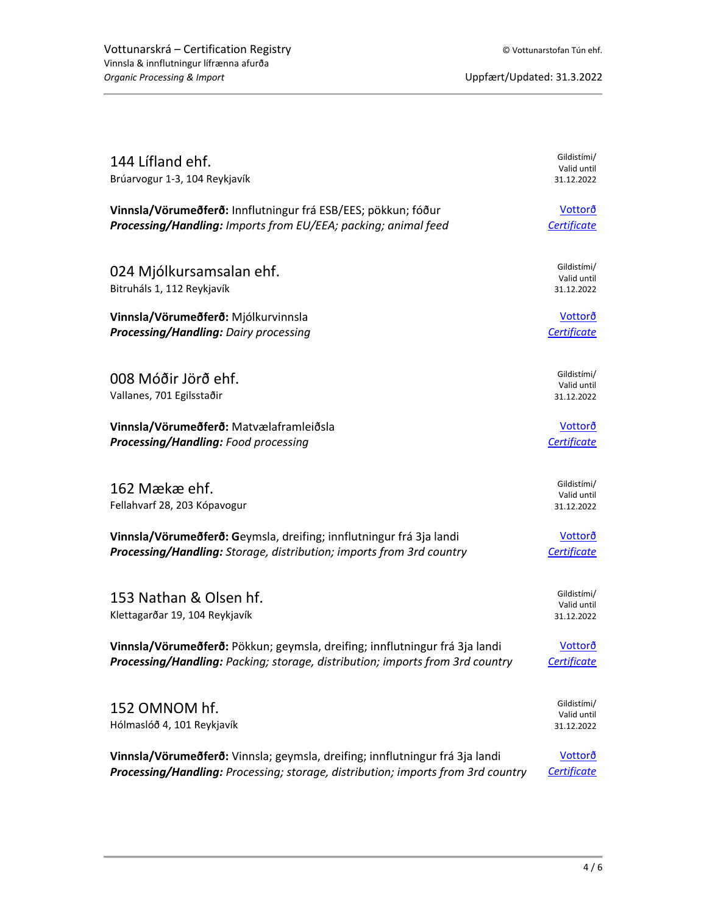| 144 Lifland ehf.<br>Brúarvogur 1-3, 104 Reykjavík                                | Gildistími/<br>Valid until<br>31.12.2022 |
|----------------------------------------------------------------------------------|------------------------------------------|
| Vinnsla/Vörumeðferð: Innflutningur frá ESB/EES; pökkun; fóður                    | Vottorð                                  |
| Processing/Handling: Imports from EU/EEA; packing; animal feed                   | Certificate                              |
| 024 Mjólkursamsalan ehf.<br>Bitruháls 1, 112 Reykjavík                           | Gildistími/<br>Valid until<br>31.12.2022 |
| Vinnsla/Vörumeðferð: Mjólkurvinnsla                                              | <u>Vottorð</u>                           |
| <b>Processing/Handling: Dairy processing</b>                                     | Certificate                              |
| 008 Móðir Jörð ehf.<br>Vallanes, 701 Egilsstaðir                                 | Gildistími/<br>Valid until<br>31.12.2022 |
| Vinnsla/Vörumeðferð: Matvælaframleiðsla                                          | Vottorð                                  |
| Processing/Handling: Food processing                                             | Certificate                              |
| 162 Mækæ ehf.<br>Fellahvarf 28, 203 Kópavogur                                    | Gildistími/<br>Valid until<br>31.12.2022 |
| Vinnsla/Vörumeðferð: Geymsla, dreifing; innflutningur frá 3ja landi              | Vottorð                                  |
| Processing/Handling: Storage, distribution; imports from 3rd country             | Certificate                              |
| 153 Nathan & Olsen hf.<br>Klettagarðar 19, 104 Reykjavík                         | Gildistími/<br>Valid until<br>31.12.2022 |
| Vinnsla/Vörumeðferð: Pökkun; geymsla, dreifing; innflutningur frá 3ja landi      | <u>Vottorð</u>                           |
| Processing/Handling: Packing; storage, distribution; imports from 3rd country    | Certificate                              |
| 152 OMNOM hf.<br>Hólmaslóð 4, 101 Reykjavík                                      | Gildistími/<br>Valid until<br>31.12.2022 |
| Vinnsla/Vörumeðferð: Vinnsla; geymsla, dreifing; innflutningur frá 3ja landi     | Vottorð                                  |
| Processing/Handling: Processing; storage, distribution; imports from 3rd country | Certificate                              |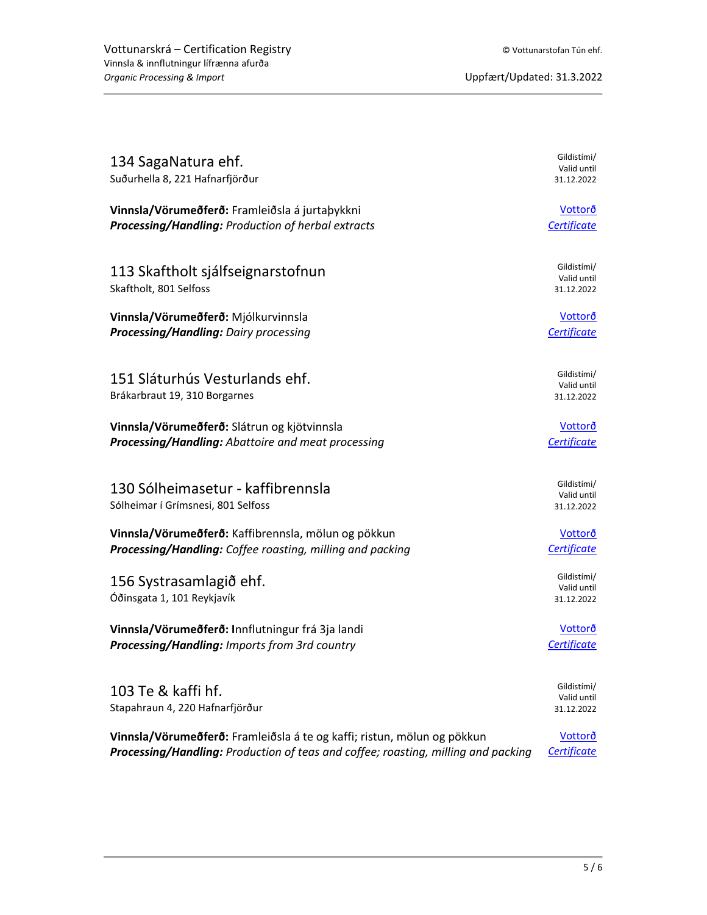| 134 SagaNatura ehf.<br>Suðurhella 8, 221 Hafnarfjörður                            | Gildistími/<br>Valid until<br>31.12.2022 |
|-----------------------------------------------------------------------------------|------------------------------------------|
| Vinnsla/Vörumeðferð: Framleiðsla á jurtaþykkni                                    | Vottorð                                  |
| Processing/Handling: Production of herbal extracts                                | Certificate                              |
| 113 Skaftholt sjálfseignarstofnun<br>Skaftholt, 801 Selfoss                       | Gildistími/<br>Valid until<br>31.12.2022 |
| Vinnsla/Vörumeðferð: Mjólkurvinnsla                                               | Vottorð                                  |
| Processing/Handling: Dairy processing                                             | Certificate                              |
| 151 Sláturhús Vesturlands ehf.<br>Brákarbraut 19, 310 Borgarnes                   | Gildistími/<br>Valid until<br>31.12.2022 |
| Vinnsla/Vörumeðferð: Slátrun og kjötvinnsla                                       | Vottorð                                  |
| Processing/Handling: Abattoire and meat processing                                | Certificate                              |
| 130 Sólheimasetur - kaffibrennsla<br>Sólheimar í Grímsnesi, 801 Selfoss           | Gildistími/<br>Valid until<br>31.12.2022 |
| Vinnsla/Vörumeðferð: Kaffibrennsla, mölun og pökkun                               | Vottorð                                  |
| Processing/Handling: Coffee roasting, milling and packing                         | Certificate                              |
| 156 Systrasamlagið ehf.<br>Óðinsgata 1, 101 Reykjavík                             | Gildistími/<br>Valid until<br>31.12.2022 |
| Vinnsla/Vörumeðferð: Innflutningur frá 3ja landi                                  | Vottorð                                  |
| Processing/Handling: Imports from 3rd country                                     | Certificate                              |
| 103 Te & kaffi hf.<br>Stapahraun 4, 220 Hafnarfjörður                             | Gildistími/<br>Valid until<br>31.12.2022 |
| Vinnsla/Vörumeðferð: Framleiðsla á te og kaffi; ristun, mölun og pökkun           | Vottorð                                  |
| Processing/Handling: Production of teas and coffee; roasting, milling and packing | Certificate                              |